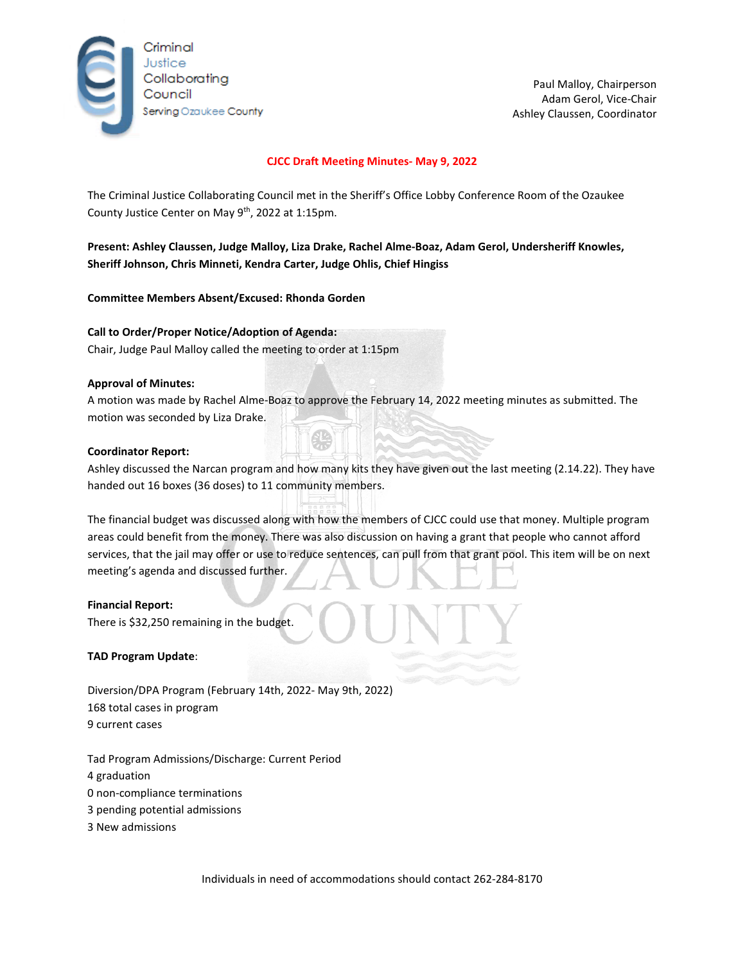

Paul Malloy, Chairperson Adam Gerol, Vice-Chair Ashley Claussen, Coordinator

## **CJCC Draft Meeting Minutes- May 9, 2022**

The Criminal Justice Collaborating Council met in the Sheriff's Office Lobby Conference Room of the Ozaukee County Justice Center on May 9<sup>th</sup>, 2022 at 1:15pm.

**Present: Ashley Claussen, Judge Malloy, Liza Drake, Rachel Alme-Boaz, Adam Gerol, Undersheriff Knowles, Sheriff Johnson, Chris Minneti, Kendra Carter, Judge Ohlis, Chief Hingiss**

**Committee Members Absent/Excused: Rhonda Gorden**

**Call to Order/Proper Notice/Adoption of Agenda:**  Chair, Judge Paul Malloy called the meeting to order at 1:15pm

### **Approval of Minutes:**

A motion was made by Rachel Alme-Boaz to approve the February 14, 2022 meeting minutes as submitted. The motion was seconded by Liza Drake.

### **Coordinator Report:**

Ashley discussed the Narcan program and how many kits they have given out the last meeting (2.14.22). They have handed out 16 boxes (36 doses) to 11 community members.

The financial budget was discussed along with how the members of CJCC could use that money. Multiple program areas could benefit from the money. There was also discussion on having a grant that people who cannot afford services, that the jail may offer or use to reduce sentences, can pull from that grant pool. This item will be on next meeting's agenda and discussed further.

### **Financial Report:**

There is \$32,250 remaining in the budget.

### **TAD Program Update**:

Diversion/DPA Program (February 14th, 2022- May 9th, 2022) 168 total cases in program 9 current cases

Tad Program Admissions/Discharge: Current Period

- 4 graduation
- 0 non-compliance terminations
- 3 pending potential admissions
- 3 New admissions